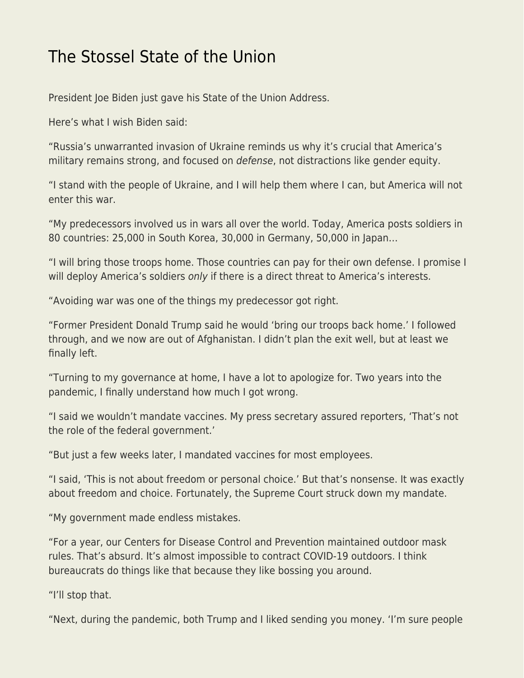## [The Stossel State of the Union](https://everything-voluntary.com/the-stossel-state-of-the-union)

President Joe Biden just gave his State of the Union Address.

Here's what I wish Biden said:

"Russia's unwarranted invasion of Ukraine reminds us why it's crucial that America's military remains strong, and focused on defense, not distractions like gender equity.

"I stand with the people of Ukraine, and I will help them where I can, but America will not enter this war.

"My predecessors involved us in wars all over the world. Today, America posts soldiers in 80 countries: 25,000 in South Korea, 30,000 in Germany, 50,000 in Japan…

"I will bring those troops home. Those countries can pay for their own defense. I promise I will deploy America's soldiers only if there is a direct threat to America's interests.

"Avoiding war was one of the things my predecessor got right.

"Former President Donald Trump said he would 'bring our troops back home.' I followed through, and we now are out of Afghanistan. I didn't plan the exit well, but at least we finally left.

"Turning to my governance at home, I have a lot to apologize for. Two years into the pandemic, I finally understand how much I got wrong.

"I said we wouldn't mandate vaccines. My press secretary assured reporters, 'That's not the role of the federal government.'

"But just a few weeks later, I mandated vaccines for most employees.

"I said, 'This is not about freedom or personal choice.' But that's nonsense. It was exactly about freedom and choice. Fortunately, the Supreme Court struck down my mandate.

"My government made endless mistakes.

"For a year, our Centers for Disease Control and Prevention maintained outdoor mask rules. That's absurd. It's almost impossible to contract COVID-19 outdoors. I think bureaucrats do things like that because they like bossing you around.

"I'll stop that.

"Next, during the pandemic, both Trump and I liked sending you money. 'I'm sure people